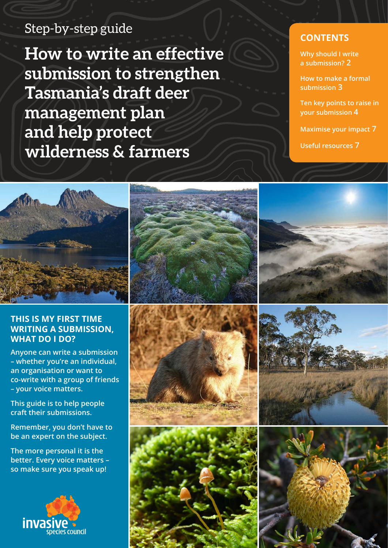# Step-by-step guide

**How to write an effective submission to strengthen Tasmania's draft deer management plan and help protect wilderness & farmers**

# **CONTENTS**

**[Why should I write](#page-1-0)  a submission? 2**

**[How to make a formal](#page-2-0)  submission 3**

**[Ten key points to raise in](#page-3-0)  your submission 4**

**[Maximise your impact](#page-6-0) 7**

**[Useful resources](#page-6-0) 7**



## **THIS IS MY FIRST TIME WRITING A SUBMISSION, WHAT DO I DO?**

**Anyone can write a submission – whether you're an individual, an organisation or want to co-write with a group of friends – your voice matters.** 

**This guide is to help people craft their submissions.**

**Remember, you don't have to be an expert on the subject.**

**The more personal it is the better. Every voice matters – so make sure you speak up!**













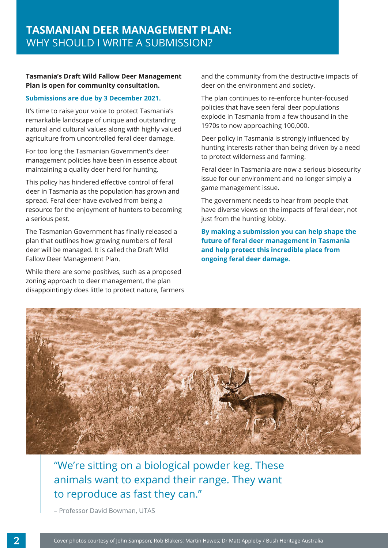## <span id="page-1-0"></span>**Tasmania's Draft Wild Fallow Deer Management Plan is open for community consultation.**

### **Submissions are due by 3 December 2021.**

It's time to raise your voice to protect Tasmania's remarkable landscape of unique and outstanding natural and cultural values along with highly valued agriculture from uncontrolled feral deer damage.

For too long the Tasmanian Government's deer management policies have been in essence about maintaining a quality deer herd for hunting.

This policy has hindered effective control of feral deer in Tasmania as the population has grown and spread. Feral deer have evolved from being a resource for the enjoyment of hunters to becoming a serious pest.

The Tasmanian Government has finally released a plan that outlines how growing numbers of feral deer will be managed. It is called the Draft Wild Fallow Deer Management Plan.

While there are some positives, such as a proposed zoning approach to deer management, the plan disappointingly does little to protect nature, farmers and the community from the destructive impacts of deer on the environment and society.

The plan continues to re-enforce hunter-focused policies that have seen feral deer populations explode in Tasmania from a few thousand in the 1970s to now approaching 100,000.

Deer policy in Tasmania is strongly influenced by hunting interests rather than being driven by a need to protect wilderness and farming.

Feral deer in Tasmania are now a serious biosecurity issue for our environment and no longer simply a game management issue.

The government needs to hear from people that have diverse views on the impacts of feral deer, not just from the hunting lobby.

**By making a submission you can help shape the future of feral deer management in Tasmania and help protect this incredible place from ongoing feral deer damage.** 



# "We're sitting on a biological powder keg. These animals want to expand their range. They want to reproduce as fast they can."

– Professor David Bowman, UTAS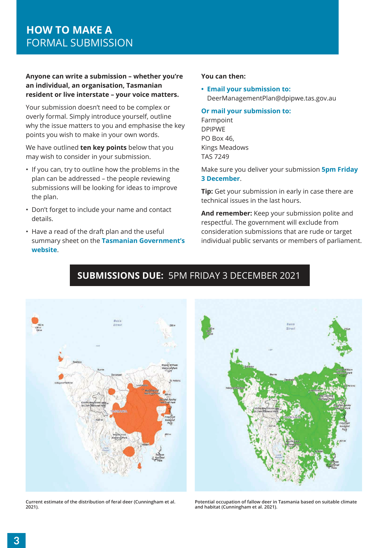### <span id="page-2-0"></span>**Anyone can write a submission – whether you're an individual, an organisation, Tasmanian resident or live interstate – your voice matters.**

Your submission doesn't need to be complex or overly formal. Simply introduce yourself, outline why the issue matters to you and emphasise the key points you wish to make in your own words.

We have outlined **ten key points** below that you may wish to consider in your submission.

- If you can, try to outline how the problems in the plan can be addressed – the people reviewing submissions will be looking for ideas to improve the plan.
- Don't forget to include your name and contact details.
- Have a read of the draft plan and the useful summary sheet on the **Tasmanian Government's website**.

### **You can then:**

**• Email your submission to:** DeerManagementPlan@dpipwe.tas.gov.au

**Or mail your submission to:** 

Farmpoint DPIPWE PO Box 46, Kings Meadows TAS 7249

Make sure you deliver your submission **5pm Friday 3 December**.

**Tip:** Get your submission in early in case there are technical issues in the last hours.

**And remember:** Keep your submission polite and respectful. The government will exclude from consideration submissions that are rude or target individual public servants or members of parliament.



#### **Current estimate of the distribution of feral deer (Cunningham et al. 2021).**



**Potential occupation of fallow deer in Tasmania based on suitable climate and habitat (Cunningham et al. 2021).**

# **SUBMISSIONS DUE:** 5PM FRIDAY 3 DECEMBER 2021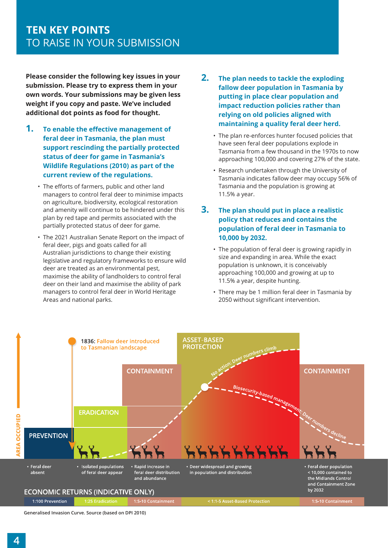<span id="page-3-0"></span>**Please consider the following key issues in your submission. Please try to express them in your own words. Your submissions may be given less weight if you copy and paste. We've included additional dot points as food for thought.** 

- **1. To enable the effective management of feral deer in Tasmania, the plan must support rescinding the partially protected status of deer for game in Tasmania's Wildlife Regulations (2010) as part of the current review of the regulations.**
	- The efforts of farmers, public and other land managers to control feral deer to minimise impacts on agriculture, biodiversity, ecological restoration and amenity will continue to be hindered under this plan by red tape and permits associated with the partially protected status of deer for game.
	- The 2021 Australian Senate Report on the impact of feral deer, pigs and goats called for all Australian jurisdictions to change their existing legislative and regulatory frameworks to ensure wild deer are treated as an environmental pest, maximise the ability of landholders to control feral deer on their land and maximise the ability of park managers to control feral deer in World Heritage Areas and national parks.
- **2. The plan needs to tackle the exploding fallow deer population in Tasmania by putting in place clear population and impact reduction policies rather than relying on old policies aligned with maintaining a quality feral deer herd.** 
	- The plan re-enforces hunter focused policies that have seen feral deer populations explode in Tasmania from a few thousand in the 1970s to now approaching 100,000 and covering 27% of the state.
	- Research undertaken through the University of Tasmania indicates fallow deer may occupy 56% of Tasmania and the population is growing at 11.5% a year.

## **3. The plan should put in place a realistic policy that reduces and contains the population of feral deer in Tasmania to 10,000 by 2032.**

- The population of feral deer is growing rapidly in size and expanding in area. While the exact population is unknown, it is conceivably approaching 100,000 and growing at up to 11.5% a year, despite hunting.
- There may be 1 million feral deer in Tasmania by 2050 without significant intervention.



**Generalised Invasion Curve. Source (based on DPI 2010)**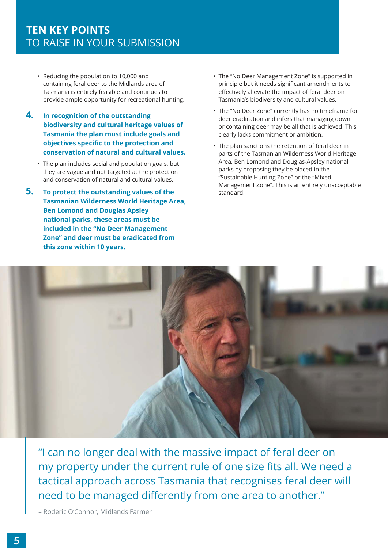- Reducing the population to 10,000 and containing feral deer to the Midlands area of Tasmania is entirely feasible and continues to provide ample opportunity for recreational hunting.
- **4. In recognition of the outstanding biodiversity and cultural heritage values of Tasmania the plan must include goals and objectives specific to the protection and conservation of natural and cultural values.**
	- The plan includes social and population goals, but they are vague and not targeted at the protection and conservation of natural and cultural values.
- **5. To protect the outstanding values of the Tasmanian Wilderness World Heritage Area, Ben Lomond and Douglas Apsley national parks, these areas must be included in the "No Deer Management Zone" and deer must be eradicated from this zone within 10 years.**
- The "No Deer Management Zone" is supported in principle but it needs significant amendments to effectively alleviate the impact of feral deer on Tasmania's biodiversity and cultural values.
- The "No Deer Zone" currently has no timeframe for deer eradication and infers that managing down or containing deer may be all that is achieved. This clearly lacks commitment or ambition.
- The plan sanctions the retention of feral deer in parts of the Tasmanian Wilderness World Heritage Area, Ben Lomond and Douglas-Apsley national parks by proposing they be placed in the "Sustainable Hunting Zone" or the "Mixed Management Zone". This is an entirely unacceptable standard.



"I can no longer deal with the massive impact of feral deer on my property under the current rule of one size fits all. We need a tactical approach across Tasmania that recognises feral deer will need to be managed differently from one area to another."

– Roderic O'Connor, Midlands Farmer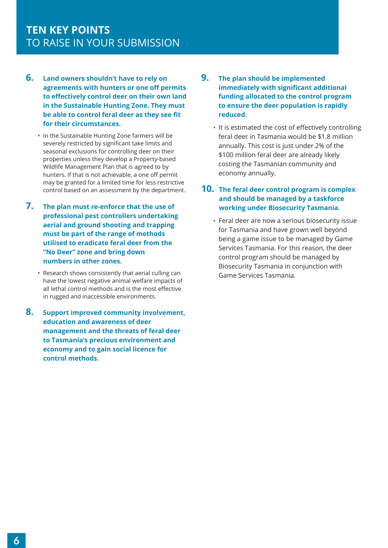- **6. Land owners shouldn't have to rely on agreements with hunters or one off permits to effectively control deer on their own land in the Sustainable Hunting Zone. They must be able to control feral deer as they see fit for their circumstances.**
	- In the Sustainable Hunting Zone farmers will be severely restricted by significant take limits and seasonal exclusions for controlling deer on their properties unless they develop a Property-based Wildlife Management Plan that is agreed to by hunters. If that is not achievable, a one off permit may be granted for a limited time for less restrictive control based on an assessment by the department.
- **7. The plan must re-enforce that the use of professional pest controllers undertaking aerial and ground shooting and trapping must be part of the range of methods utilised to eradicate feral deer from the "No Deer" zone and bring down numbers in other zones.** 
	- Research shows consistently that aerial culling can have the lowest negative animal welfare impacts of all lethal control methods and is the most effective in rugged and inaccessible environments.
- **8. Support improved community involvement, education and awareness of deer management and the threats of feral deer to Tasmania's precious environment and economy and to gain social licence for control methods.**
- **9. The plan should be implemented immediately with significant additional funding allocated to the control program to ensure the deer population is rapidly reduced.** 
	- It is estimated the cost of effectively controlling feral deer in Tasmania would be \$1.8 million annually. This cost is just under 2% of the \$100 million feral deer are already likely costing the Tasmanian community and economy annually.

## **10. The feral deer control program is complex and should be managed by a taskforce working under Biosecurity Tasmania.**

• Feral deer are now a serious biosecurity issue for Tasmania and have grown well beyond being a game issue to be managed by Game Services Tasmania. For this reason, the deer control program should be managed by Biosecurity Tasmania in conjunction with Game Services Tasmania.